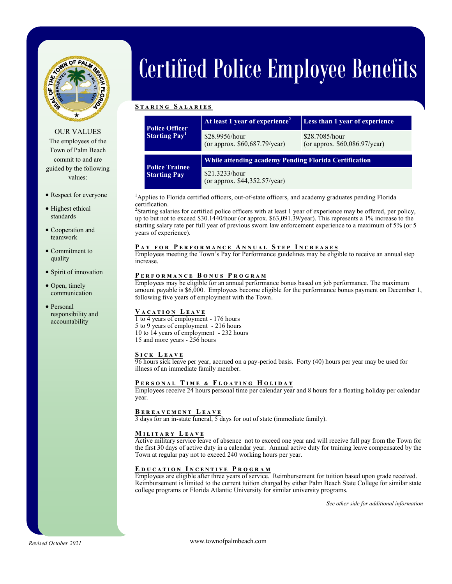

OUR VALUES

The employees of the Town of Palm Beach commit to and are guided by the following values:

# Respect for everyone

- Highest ethical standards
- Cooperation and teamwork
- Commitment to quality
- Spirit of innovation
- Open, timely communication
- Personal responsibility and accountability

# Certified Police Employee Benefits

#### **S t a r i n g S a l a r i e s**

| <b>Police Officer</b><br><b>Starting Pay</b> | At least 1 year of experience <sup>2</sup>            | Less than 1 year of experience                    |
|----------------------------------------------|-------------------------------------------------------|---------------------------------------------------|
|                                              | \$28.9956/hour<br>(or approx. $$60,687.79$ /year)     | \$28.7085/hour<br>(or approx. $$60,086.97/year$ ) |
| <b>Police Trainee</b><br><b>Starting Pay</b> | While attending academy Pending Florida Certification |                                                   |
|                                              | \$21.3233/hour<br>(or approx. \$44,352.57/year)       |                                                   |

<sup>1</sup>Applies to Florida certified officers, out-of-state officers, and academy graduates pending Florida certification.

2 Starting salaries for certified police officers with at least 1 year of experience may be offered, per policy, up to but not to exceed \$30.1440/hour (or approx. \$63,091.39/year). This represents a 1% increase to the starting salary rate per full year of previous sworn law enforcement experience to a maximum of 5% (or 5 years of experience).

# PAY FOR PERFORMANCE ANNUAL STEP INCREASES

Employees meeting the Town's Pay for Performance guidelines may be eligible to receive an annual step increase.

# **P e r f o r m a n c e B o n u s P r o g r a m**

Employees may be eligible for an annual performance bonus based on job performance. The maximum amount payable is \$6,000. Employees become eligible for the performance bonus payment on December 1, following five years of employment with the Town.

# **V a c a t i o n L e a v e**

1 to 4 years of employment - 176 hours 5 to 9 years of employment - 216 hours 10 to 14 years of employment - 232 hours 15 and more years - 256 hours

#### **S i c k L e a v e**

96 hours sick leave per year, accrued on a pay-period basis. Forty (40) hours per year may be used for illness of an immediate family member.

## **P e r s o n a l T i m e & F l o a t i n g H o l i d a y**

Employees receive 24 hours personal time per calendar year and 8 hours for a floating holiday per calendar year.

## **B e r e a v e m e n t L e a v e**

3 days for an in-state funeral, 5 days for out of state (immediate family).

## **M i l i t a r y L e a v e**

Active military service leave of absence not to exceed one year and will receive full pay from the Town for the first 30 days of active duty in a calendar year. Annual active duty for training leave compensated by the Town at regular pay not to exceed 240 working hours per year.

#### **E d u c a t i o n I n c e n t i v e P r o g r a m**

Employees are eligible after three years of service. Reimbursement for tuition based upon grade received. Reimbursement is limited to the current tuition charged by either Palm Beach State College for similar state college programs or Florida Atlantic University for similar university programs.

*See other side for additional information*

www.townofpalmbeach.com